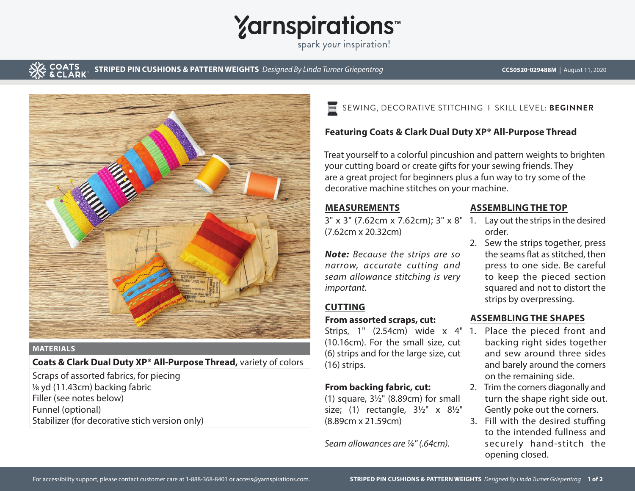# **Yarnspirations**

spark your inspiration!

**STRIPED PIN CUSHIONS & PATTERN WEIGHTS** Designed By Linda Turner Griepentrog **CCS0520-029488M** | August 11, 2020



#### **MATERIALS**

**Coats & Clark Dual Duty XP® All-Purpose Thread,** variety of colors

Scraps of assorted fabrics, for piecing 1/8 yd (11.43cm) backing fabric Filler (see notes below) Funnel (optional) Stabilizer (for decorative stich version only)

#### SEWING, DECORATIVE STITCHING I SKILL LEVEL: **BEGINNER** 巪

## **Featuring Coats & Clark Dual Duty XP® All-Purpose Thread**

Treat yourself to a colorful pincushion and pattern weights to brighten your cutting board or create gifts for your sewing friends. They are a great project for beginners plus a fun way to try some of the decorative machine stitches on your machine.

### **MEASUREMENTS**

 $3'' \times 3''$  (7.62cm  $\times$  7.62cm);  $3'' \times 8''$  1. Lay out the strips in the desired (7.62cm x 20.32cm)

*Note: Because the strips are so narrow, accurate cutting and seam allowance stitching is very important.*

### **CUTTING**

#### **From assorted scraps, cut:**

Strips, 1" (2.54cm) wide x 4" 1. Place the pieced front and (10.16cm). For the small size, cut (6) strips and for the large size, cut (16) strips.

#### **From backing fabric, cut:**

(1) square, 3½" (8.89cm) for small size; (1) rectangle, 3½" x 8½" (8.89cm x 21.59cm)

*Seam allowances are ¼" (.64cm).*

#### **ASSEMBLING THE TOP**

- order.
- 2. Sew the strips together, press the seams flat as stitched, then press to one side. Be careful to keep the pieced section squared and not to distort the strips by overpressing.

### **ASSEMBLING THE SHAPES**

- backing right sides together and sew around three sides and barely around the corners on the remaining side.
- 2. Trim the corners diagonally and turn the shape right side out. Gently poke out the corners.
- 3. Fill with the desired stuffing to the intended fullness and securely hand-stitch the opening closed.